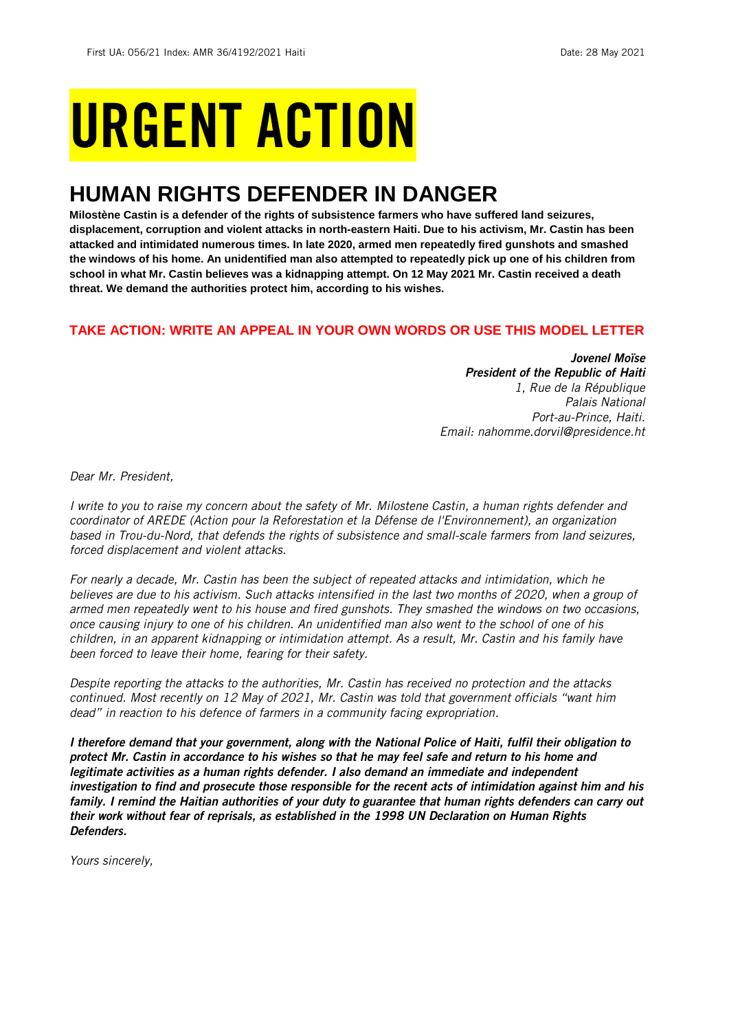# URGENT ACTION

## **HUMAN RIGHTS DEFENDER IN DANGER**

**Milostène Castin is a defender of the rights of subsistence farmers who have suffered land seizures, displacement, corruption and violent attacks in north-eastern Haiti. Due to his activism, Mr. Castin has been attacked and intimidated numerous times. In late 2020, armed men repeatedly fired gunshots and smashed the windows of his home. An unidentified man also attempted to repeatedly pick up one of his children from school in what Mr. Castin believes was a kidnapping attempt. On 12 May 2021 Mr. Castin received a death threat. We demand the authorities protect him, according to his wishes.**

#### **TAKE ACTION: WRITE AN APPEAL IN YOUR OWN WORDS OR USE THIS MODEL LETTER**

*Jovenel Moïse President of the Republic of Haiti 1, Rue de la République Palais National Port-au-Prince, Haiti. Email: nahomme.dorvil@presidence.ht*

*Dear Mr. President,*

*I write to you to raise my concern about the safety of Mr. Milostene Castin, a human rights defender and coordinator of AREDE (Action pour la Reforestation et la Défense de l'Environnement), an organization based in Trou-du-Nord, that defends the rights of subsistence and small-scale farmers from land seizures, forced displacement and violent attacks.*

*For nearly a decade, Mr. Castin has been the subject of repeated attacks and intimidation, which he believes are due to his activism. Such attacks intensified in the last two months of 2020, when a group of armed men repeatedly went to his house and fired gunshots. They smashed the windows on two occasions, once causing injury to one of his children. An unidentified man also went to the school of one of his children, in an apparent kidnapping or intimidation attempt. As a result, Mr. Castin and his family have been forced to leave their home, fearing for their safety.*

*Despite reporting the attacks to the authorities, Mr. Castin has received no protection and the attacks continued. Most recently on 12 May of 2021, Mr. Castin was told that government officials "want him dead" in reaction to his defence of farmers in a community facing expropriation.* 

*I therefore demand that your government, along with the National Police of Haiti, fulfil their obligation to protect Mr. Castin in accordance to his wishes so that he may feel safe and return to his home and legitimate activities as a human rights defender. I also demand an immediate and independent investigation to find and prosecute those responsible for the recent acts of intimidation against him and his family. I remind the Haitian authorities of your duty to guarantee that human rights defenders can carry out their work without fear of reprisals, as established in the 1998 UN Declaration on Human Rights Defenders.*

*Yours sincerely,*